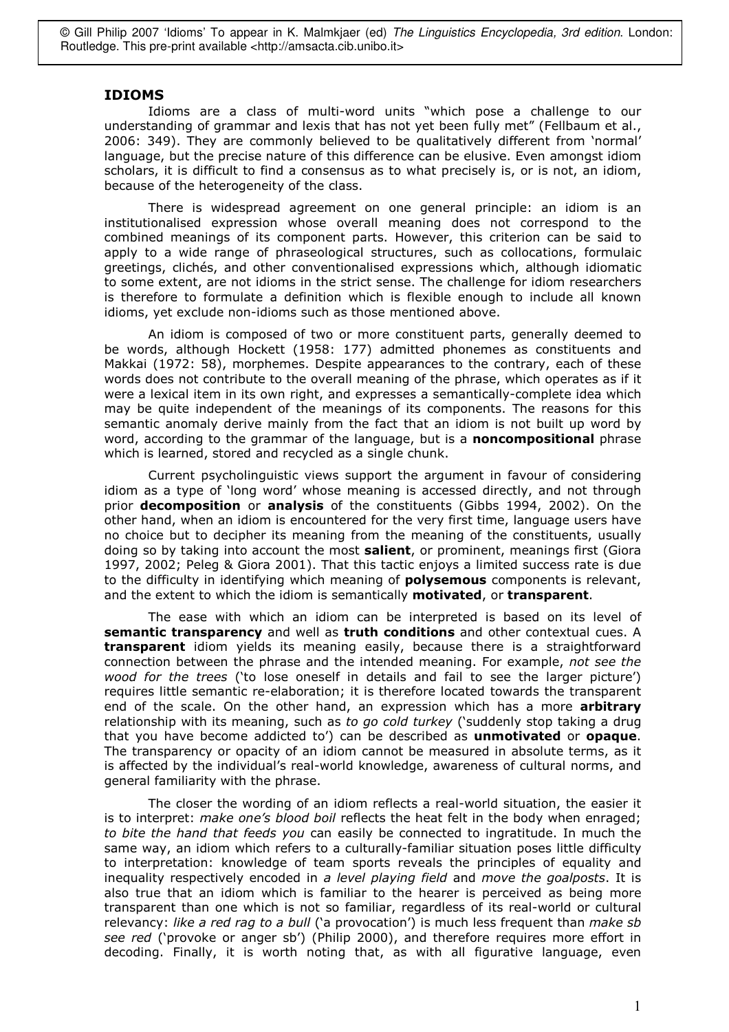© Gill Philip 2007 'Idioms' To appear in K. Malmkjaer (ed) The Linguistics Encyclopedia, 3rd edition. London: Routledge. This pre-print available <http://amsacta.cib.unibo.it>

## **IDIOMS**

Idioms are a class of multi-word units "which pose a challenge to our understanding of grammar and lexis that has not yet been fully met" (Fellbaum et al., 2006: 349). They are commonly believed to be qualitatively different from 'normal' language, but the precise nature of this difference can be elusive. Even amongst idiom scholars, it is difficult to find a consensus as to what precisely is, or is not, an idiom, because of the heterogeneity of the class.

There is widespread agreement on one general principle: an idiom is an institutionalised expression whose overall meaning does not correspond to the combined meanings of its component parts. However, this criterion can be said to apply to a wide range of phraseological structures, such as collocations, formulaic greetings, clichés, and other conventionalised expressions which, although idiomatic to some extent, are not idioms in the strict sense. The challenge for idiom researchers is therefore to formulate a definition which is flexible enough to include all known idioms, yet exclude non-idioms such as those mentioned above.

An idiom is composed of two or more constituent parts, generally deemed to be words, although Hockett (1958: 177) admitted phonemes as constituents and Makkai (1972: 58), morphemes. Despite appearances to the contrary, each of these words does not contribute to the overall meaning of the phrase, which operates as if it were a lexical item in its own right, and expresses a semantically-complete idea which may be quite independent of the meanings of its components. The reasons for this semantic anomaly derive mainly from the fact that an idiom is not built up word by word, according to the grammar of the language, but is a noncompositional phrase which is learned, stored and recycled as a single chunk.

Current psycholinguistic views support the argument in favour of considering idiom as a type of 'long word' whose meaning is accessed directly, and not through prior **decomposition** or **analysis** of the constituents (Gibbs 1994, 2002). On the other hand, when an idiom is encountered for the very first time, language users have no choice but to decipher its meaning from the meaning of the constituents, usually doing so by taking into account the most **salient**, or prominent, meanings first (Giora 1997, 2002; Peleg & Giora 2001). That this tactic enjoys a limited success rate is due to the difficulty in identifying which meaning of **polysemous** components is relevant, and the extent to which the idiom is semantically motivated, or transparent.

The ease with which an idiom can be interpreted is based on its level of semantic transparency and well as truth conditions and other contextual cues. A transparent idiom yields its meaning easily, because there is a straightforward connection between the phrase and the intended meaning. For example, not see the wood for the trees ('to lose oneself in details and fail to see the larger picture') requires little semantic re-elaboration; it is therefore located towards the transparent end of the scale. On the other hand, an expression which has a more arbitrary relationship with its meaning, such as to go cold turkey ('suddenly stop taking a drug that you have become addicted to') can be described as unmotivated or opaque. The transparency or opacity of an idiom cannot be measured in absolute terms, as it is affected by the individual's real-world knowledge, awareness of cultural norms, and general familiarity with the phrase.

The closer the wording of an idiom reflects a real-world situation, the easier it is to interpret: *make one's blood boil* reflects the heat felt in the body when enraged; to bite the hand that feeds you can easily be connected to ingratitude. In much the same way, an idiom which refers to a culturally-familiar situation poses little difficulty to interpretation: knowledge of team sports reveals the principles of equality and inequality respectively encoded in a level playing field and move the goalposts. It is also true that an idiom which is familiar to the hearer is perceived as being more transparent than one which is not so familiar, regardless of its real-world or cultural relevancy: like a red rag to a bull ('a provocation') is much less frequent than make sb see red ('provoke or anger sb') (Philip 2000), and therefore requires more effort in decoding. Finally, it is worth noting that, as with all figurative language, even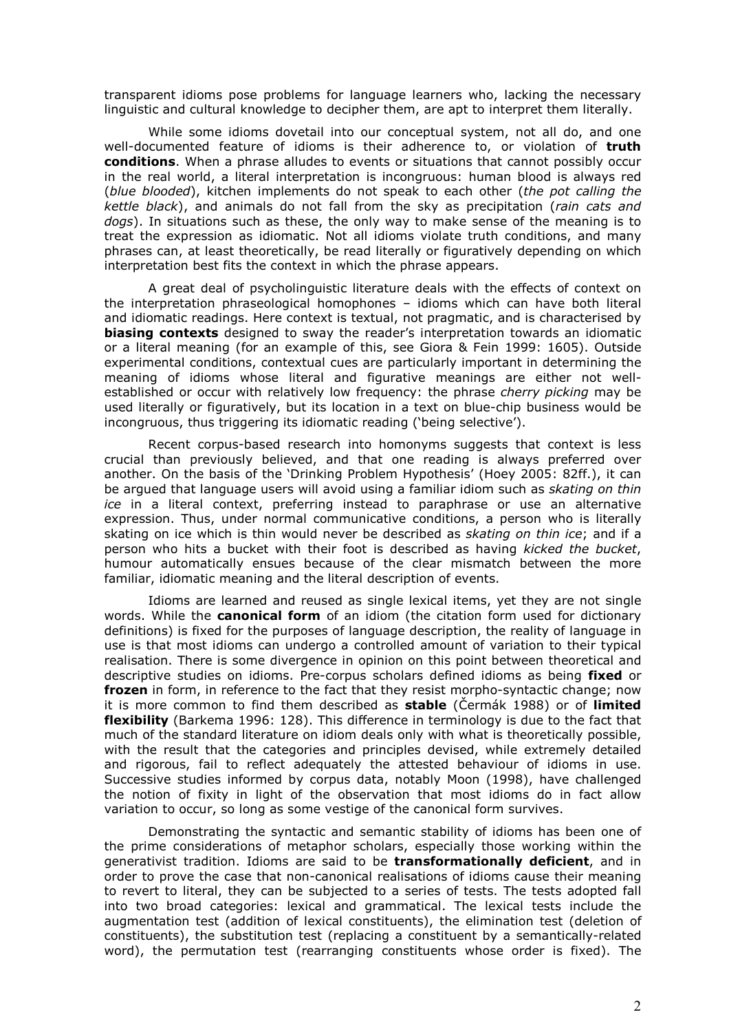transparent idioms pose problems for language learners who, lacking the necessary linguistic and cultural knowledge to decipher them, are apt to interpret them literally.

While some idioms dovetail into our conceptual system, not all do, and one well-documented feature of idioms is their adherence to, or violation of truth conditions. When a phrase alludes to events or situations that cannot possibly occur in the real world, a literal interpretation is incongruous: human blood is always red (blue blooded), kitchen implements do not speak to each other (the pot calling the kettle black), and animals do not fall from the sky as precipitation (rain cats and dogs). In situations such as these, the only way to make sense of the meaning is to treat the expression as idiomatic. Not all idioms violate truth conditions, and many phrases can, at least theoretically, be read literally or figuratively depending on which interpretation best fits the context in which the phrase appears.

A great deal of psycholinguistic literature deals with the effects of context on the interpretation phraseological homophones - idioms which can have both literal and idiomatic readings. Here context is textual, not pragmatic, and is characterised by **biasing contexts** designed to sway the reader's interpretation towards an idiomatic or a literal meaning (for an example of this, see Giora & Fein 1999; 1605). Outside experimental conditions, contextual cues are particularly important in determining the meaning of idioms whose literal and figurative meanings are either not wellestablished or occur with relatively low frequency: the phrase cherry picking may be used literally or figuratively, but its location in a text on blue-chip business would be incongruous, thus triggering its idiomatic reading ('being selective').

Recent corpus-based research into homonyms suggests that context is less crucial than previously believed, and that one reading is always preferred over another. On the basis of the 'Drinking Problem Hypothesis' (Hoey 2005: 82ff.), it can be argued that language users will avoid using a familiar idiom such as skating on thin ice in a literal context, preferring instead to paraphrase or use an alternative expression. Thus, under normal communicative conditions, a person who is literally skating on ice which is thin would never be described as *skating on thin ice*: and if a person who hits a bucket with their foot is described as having kicked the bucket, humour automatically ensues because of the clear mismatch between the more familiar, idiomatic meaning and the literal description of events.

Idioms are learned and reused as single lexical items, yet they are not single words. While the **canonical form** of an idiom (the citation form used for dictionary definitions) is fixed for the purposes of language description, the reality of language in use is that most idioms can undergo a controlled amount of variation to their typical realisation. There is some divergence in opinion on this point between theoretical and descriptive studies on idioms. Pre-corpus scholars defined idioms as being fixed or frozen in form, in reference to the fact that they resist morpho-syntactic change; now it is more common to find them described as **stable** (Cermák 1988) or of **limited** flexibility (Barkema 1996; 128). This difference in terminology is due to the fact that much of the standard literature on idiom deals only with what is theoretically possible, with the result that the categories and principles devised, while extremely detailed and rigorous, fail to reflect adequately the attested behaviour of idioms in use. Successive studies informed by corpus data, notably Moon (1998), have challenged the notion of fixity in light of the observation that most idioms do in fact allow variation to occur, so long as some vestige of the canonical form survives.

Demonstrating the syntactic and semantic stability of idioms has been one of the prime considerations of metaphor scholars, especially those working within the generativist tradition. Idioms are said to be transformationally deficient, and in order to prove the case that non-canonical realisations of idioms cause their meaning to revert to literal, they can be subjected to a series of tests. The tests adopted fall into two broad categories: lexical and grammatical. The lexical tests include the augmentation test (addition of lexical constituents), the elimination test (deletion of constituents), the substitution test (replacing a constituent by a semantically-related word), the permutation test (rearranging constituents whose order is fixed). The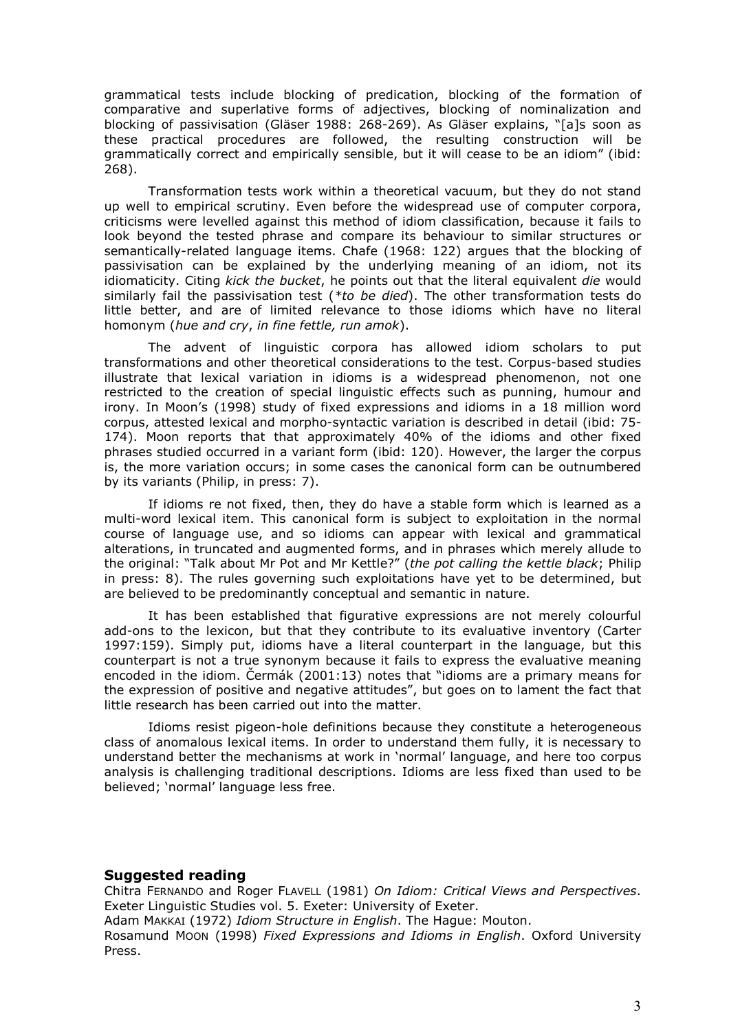grammatical tests include blocking of predication, blocking of the formation of comparative and superlative forms of adjectives, blocking of nominalization and blocking of passivisation (Gläser 1988: 268-269). As Gläser explains, "[a]s soon as these practical procedures are followed, the resulting construction will be grammatically correct and empirically sensible, but it will cease to be an idiom" (ibid:  $268$ ).

Transformation tests work within a theoretical vacuum, but they do not stand up well to empirical scrutiny. Even before the widespread use of computer corpora, criticisms were levelled against this method of idiom classification, because it fails to look beyond the tested phrase and compare its behaviour to similar structures or semantically-related language items. Chafe (1968: 122) argues that the blocking of passivisation can be explained by the underlying meaning of an idiom, not its idiomaticity. Citing kick the bucket, he points out that the literal equivalent die would similarly fail the passivisation test (\*to be died). The other transformation tests do little better, and are of limited relevance to those idioms which have no literal homonym (hue and cry, in fine fettle, run amok).

The advent of linguistic corpora has allowed idiom scholars to put transformations and other theoretical considerations to the test. Corpus-based studies illustrate that lexical variation in idioms is a widespread phenomenon, not one restricted to the creation of special linguistic effects such as punning, humour and irony. In Moon's (1998) study of fixed expressions and idioms in a 18 million word corpus, attested lexical and morpho-syntactic variation is described in detail (ibid: 75-174). Moon reports that that approximately 40% of the idioms and other fixed phrases studied occurred in a variant form (ibid: 120). However, the larger the corpus is, the more variation occurs; in some cases the canonical form can be outnumbered by its variants (Philip, in press: 7).

If idioms re not fixed, then, they do have a stable form which is learned as a multi-word lexical item. This canonical form is subject to exploitation in the normal course of language use, and so idioms can appear with lexical and grammatical alterations, in truncated and augmented forms, and in phrases which merely allude to the original: "Talk about Mr Pot and Mr Kettle?" (the pot calling the kettle black; Philip in press: 8). The rules governing such exploitations have yet to be determined, but are believed to be predominantly conceptual and semantic in nature.

It has been established that figurative expressions are not merely colourful add-ons to the lexicon, but that they contribute to its evaluative inventory (Carter 1997:159). Simply put, idioms have a literal counterpart in the language, but this counterpart is not a true synonym because it fails to express the evaluative meaning encoded in the idiom. Cermák (2001:13) notes that "idioms are a primary means for the expression of positive and negative attitudes", but goes on to lament the fact that little research has been carried out into the matter.

Idioms resist pigeon-hole definitions because they constitute a heterogeneous class of anomalous lexical items. In order to understand them fully, it is necessary to understand better the mechanisms at work in 'normal' language, and here too corpus analysis is challenging traditional descriptions. Idioms are less fixed than used to be believed; 'normal' language less free.

## **Suggested reading**

Chitra FERNANDO and Roger FLAVELL (1981) On Idiom: Critical Views and Perspectives. Exeter Linguistic Studies vol. 5. Exeter: University of Exeter.

Adam MAKKAI (1972) Idiom Structure in English. The Haque: Mouton.

Rosamund Moon (1998) Fixed Expressions and Idioms in English. Oxford University Press